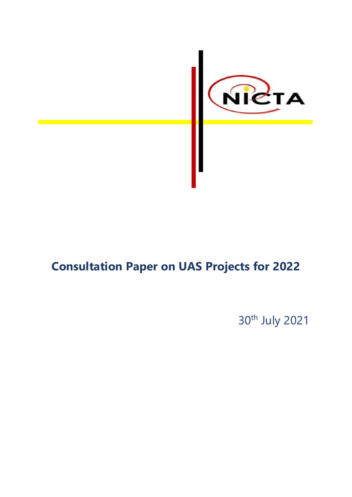

# **Consultation Paper on UAS Projects for 2022**

30th July 2021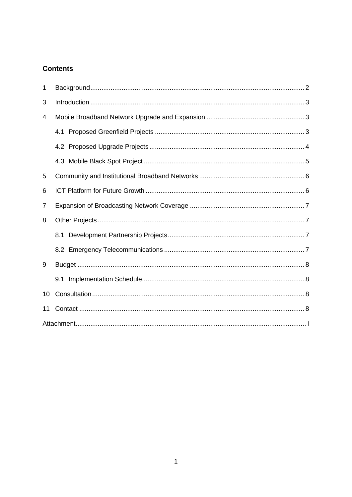# **Contents**

| 1  |  |  |  |
|----|--|--|--|
| 3  |  |  |  |
| 4  |  |  |  |
|    |  |  |  |
|    |  |  |  |
|    |  |  |  |
| 5  |  |  |  |
| 6  |  |  |  |
| 7  |  |  |  |
| 8  |  |  |  |
|    |  |  |  |
|    |  |  |  |
| 9  |  |  |  |
|    |  |  |  |
| 10 |  |  |  |
| 11 |  |  |  |
|    |  |  |  |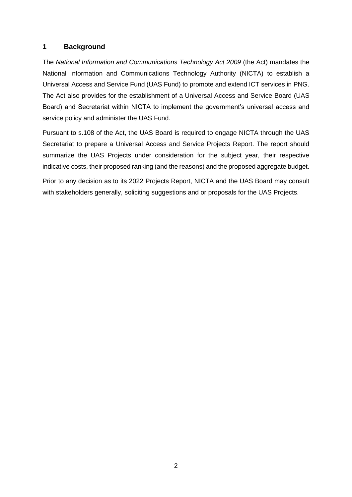#### <span id="page-2-0"></span>**1 Background**

The *National Information and Communications Technology Act 2009* (the Act) mandates the National Information and Communications Technology Authority (NICTA) to establish a Universal Access and Service Fund (UAS Fund) to promote and extend ICT services in PNG. The Act also provides for the establishment of a Universal Access and Service Board (UAS Board) and Secretariat within NICTA to implement the government's universal access and service policy and administer the UAS Fund.

Pursuant to s.108 of the Act, the UAS Board is required to engage NICTA through the UAS Secretariat to prepare a Universal Access and Service Projects Report. The report should summarize the UAS Projects under consideration for the subject year, their respective indicative costs, their proposed ranking (and the reasons) and the proposed aggregate budget.

Prior to any decision as to its 2022 Projects Report, NICTA and the UAS Board may consult with stakeholders generally, soliciting suggestions and or proposals for the UAS Projects.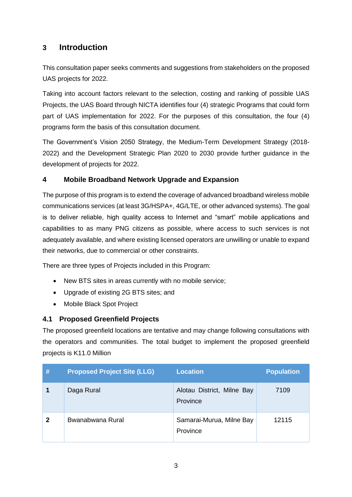# <span id="page-3-0"></span>**3 Introduction**

This consultation paper seeks comments and suggestions from stakeholders on the proposed UAS projects for 2022.

Taking into account factors relevant to the selection, costing and ranking of possible UAS Projects, the UAS Board through NICTA identifies four (4) strategic Programs that could form part of UAS implementation for 2022. For the purposes of this consultation, the four (4) programs form the basis of this consultation document.

The Government's Vision 2050 Strategy, the Medium-Term Development Strategy (2018- 2022) and the Development Strategic Plan 2020 to 2030 provide further guidance in the development of projects for 2022.

## <span id="page-3-1"></span>**4 Mobile Broadband Network Upgrade and Expansion**

The purpose of this program is to extend the coverage of advanced broadband wireless mobile communications services (at least 3G/HSPA+, 4G/LTE, or other advanced systems). The goal is to deliver reliable, high quality access to Internet and "smart" mobile applications and capabilities to as many PNG citizens as possible, where access to such services is not adequately available, and where existing licensed operators are unwilling or unable to expand their networks, due to commercial or other constraints.

There are three types of Projects included in this Program:

- New BTS sites in areas currently with no mobile service;
- Upgrade of existing 2G BTS sites; and
- Mobile Black Spot Project

#### <span id="page-3-2"></span>**4.1 Proposed Greenfield Projects**

The proposed greenfield locations are tentative and may change following consultations with the operators and communities. The total budget to implement the proposed greenfield projects is K11.0 Million

| # | <b>Proposed Project Site (LLG)</b> | <b>Location</b>                        | <b>Population</b> |
|---|------------------------------------|----------------------------------------|-------------------|
|   | Daga Rural                         | Alotau District, Milne Bay<br>Province | 7109              |
| 2 | Bwanabwana Rural                   | Samarai-Murua, Milne Bay<br>Province   | 12115             |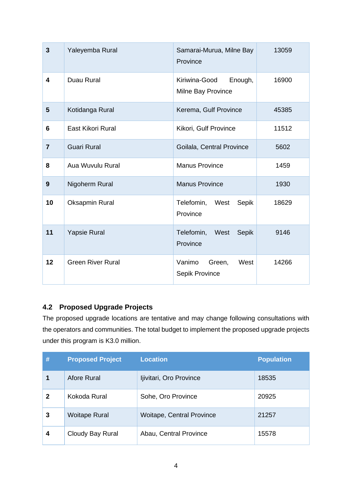| $\overline{3}$ | Yaleyemba Rural          | Samarai-Murua, Milne Bay<br>Province           | 13059 |
|----------------|--------------------------|------------------------------------------------|-------|
| 4              | Duau Rural               | Kiriwina-Good<br>Enough,<br>Milne Bay Province | 16900 |
| 5              | Kotidanga Rural          | Kerema, Gulf Province                          | 45385 |
| 6              | East Kikori Rural        | Kikori, Gulf Province                          | 11512 |
| $\overline{7}$ | <b>Guari Rural</b>       | Goilala, Central Province                      | 5602  |
| 8              | Aua Wuvulu Rural         | <b>Manus Province</b>                          | 1459  |
| 9              | Nigoherm Rural           | <b>Manus Province</b>                          | 1930  |
| 10             | Oksapmin Rural           | West<br>Sepik<br>Telefomin,<br>Province        | 18629 |
| 11             | <b>Yapsie Rural</b>      | Telefomin,<br>West<br>Sepik<br>Province        | 9146  |
| 12             | <b>Green River Rural</b> | Vanimo<br>Green,<br>West<br>Sepik Province     | 14266 |

# <span id="page-4-0"></span>**4.2 Proposed Upgrade Projects**

The proposed upgrade locations are tentative and may change following consultations with the operators and communities. The total budget to implement the proposed upgrade projects under this program is K3.0 million.

| # | <b>Proposed Project</b> | <b>Location</b>                  | <b>Population</b> |
|---|-------------------------|----------------------------------|-------------------|
|   | Afore Rural             | Ijivitari, Oro Province          | 18535             |
| 2 | Kokoda Rural            | Sohe, Oro Province               | 20925             |
| 3 | <b>Woitape Rural</b>    | <b>Woitape, Central Province</b> | 21257             |
| 4 | Cloudy Bay Rural        | Abau, Central Province           | 15578             |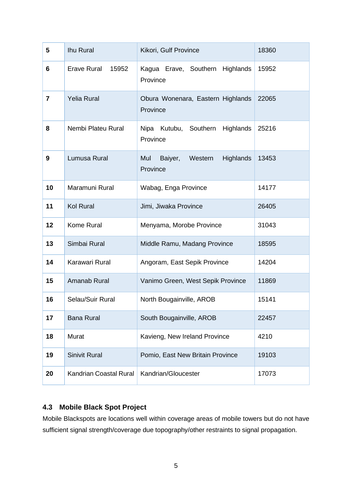| 5              | Ihu Rural                   | Kikori, Gulf Province                              | 18360 |
|----------------|-----------------------------|----------------------------------------------------|-------|
| 6              | <b>Erave Rural</b><br>15952 | Kagua Erave, Southern Highlands<br>Province        | 15952 |
| $\overline{7}$ | <b>Yelia Rural</b>          | Obura Wonenara, Eastern Highlands<br>Province      | 22065 |
| 8              | Nembi Plateu Rural          | Nipa Kutubu, Southern Highlands<br>Province        | 25216 |
| 9              | Lumusa Rural                | Mul<br>Western<br>Highlands<br>Baiyer,<br>Province | 13453 |
| 10             | Maramuni Rural              | Wabag, Enga Province                               | 14177 |
| 11             | <b>Kol Rural</b>            | Jimi, Jiwaka Province                              | 26405 |
| 12             | Kome Rural                  | Menyama, Morobe Province                           | 31043 |
| 13             | Simbai Rural                | Middle Ramu, Madang Province                       | 18595 |
| 14             | Karawari Rural              | Angoram, East Sepik Province                       | 14204 |
| 15             | Amanab Rural                | Vanimo Green, West Sepik Province                  | 11869 |
| 16             | Selau/Suir Rural            | North Bougainville, AROB                           | 15141 |
| 17             | <b>Bana Rural</b>           | South Bougainville, AROB                           | 22457 |
| 18             | Murat                       | Kavieng, New Ireland Province                      | 4210  |
| 19             | <b>Sinivit Rural</b>        | Pomio, East New Britain Province                   | 19103 |
| 20             | Kandrian Coastal Rural      | Kandrian/Gloucester                                | 17073 |

# <span id="page-5-0"></span>**4.3 Mobile Black Spot Project**

Mobile Blackspots are locations well within coverage areas of mobile towers but do not have sufficient signal strength/coverage due topography/other restraints to signal propagation.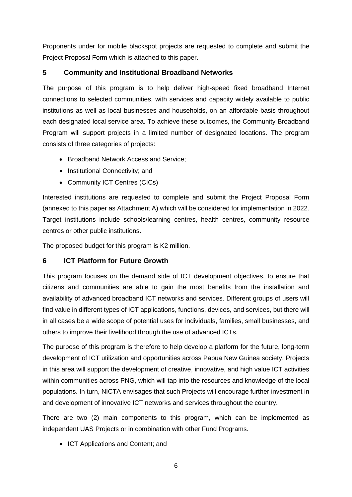Proponents under for mobile blackspot projects are requested to complete and submit the Project Proposal Form which is attached to this paper.

## <span id="page-6-0"></span>**5 Community and Institutional Broadband Networks**

The purpose of this program is to help deliver high-speed fixed broadband Internet connections to selected communities, with services and capacity widely available to public institutions as well as local businesses and households, on an affordable basis throughout each designated local service area. To achieve these outcomes, the Community Broadband Program will support projects in a limited number of designated locations. The program consists of three categories of projects:

- Broadband Network Access and Service;
- Institutional Connectivity; and
- Community ICT Centres (CICs)

Interested institutions are requested to complete and submit the Project Proposal Form (annexed to this paper as Attachment A) which will be considered for implementation in 2022. Target institutions include schools/learning centres, health centres, community resource centres or other public institutions.

The proposed budget for this program is K2 million.

#### <span id="page-6-1"></span>**6 ICT Platform for Future Growth**

This program focuses on the demand side of ICT development objectives, to ensure that citizens and communities are able to gain the most benefits from the installation and availability of advanced broadband ICT networks and services. Different groups of users will find value in different types of ICT applications, functions, devices, and services, but there will in all cases be a wide scope of potential uses for individuals, families, small businesses, and others to improve their livelihood through the use of advanced ICTs.

The purpose of this program is therefore to help develop a platform for the future, long-term development of ICT utilization and opportunities across Papua New Guinea society. Projects in this area will support the development of creative, innovative, and high value ICT activities within communities across PNG, which will tap into the resources and knowledge of the local populations. In turn, NICTA envisages that such Projects will encourage further investment in and development of innovative ICT networks and services throughout the country.

There are two (2) main components to this program, which can be implemented as independent UAS Projects or in combination with other Fund Programs.

• ICT Applications and Content; and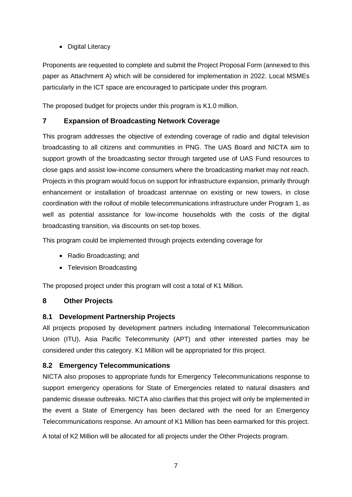• Digital Literacy

Proponents are requested to complete and submit the Project Proposal Form (annexed to this paper as Attachment A) which will be considered for implementation in 2022. Local MSMEs particularly in the ICT space are encouraged to participate under this program.

The proposed budget for projects under this program is K1.0 million.

# <span id="page-7-0"></span>**7 Expansion of Broadcasting Network Coverage**

This program addresses the objective of extending coverage of radio and digital television broadcasting to all citizens and communities in PNG. The UAS Board and NICTA aim to support growth of the broadcasting sector through targeted use of UAS Fund resources to close gaps and assist low-income consumers where the broadcasting market may not reach. Projects in this program would focus on support for infrastructure expansion, primarily through enhancement or installation of broadcast antennae on existing or new towers, in close coordination with the rollout of mobile telecommunications infrastructure under Program 1, as well as potential assistance for low-income households with the costs of the digital broadcasting transition, via discounts on set-top boxes.

This program could be implemented through projects extending coverage for

- Radio Broadcasting; and
- Television Broadcasting

The proposed project under this program will cost a total of K1 Million.

# <span id="page-7-1"></span>**8 Other Projects**

# <span id="page-7-2"></span>**8.1 Development Partnership Projects**

All projects proposed by development partners including International Telecommunication Union (ITU), Asia Pacific Telecommunity (APT) and other interested parties may be considered under this category. K1 Million will be appropriated for this project.

# <span id="page-7-3"></span>**8.2 Emergency Telecommunications**

NICTA also proposes to appropriate funds for Emergency Telecommunications response to support emergency operations for State of Emergencies related to natural disasters and pandemic disease outbreaks. NICTA also clarifies that this project will only be implemented in the event a State of Emergency has been declared with the need for an Emergency Telecommunications response. An amount of K1 Million has been earmarked for this project.

A total of K2 Million will be allocated for all projects under the Other Projects program.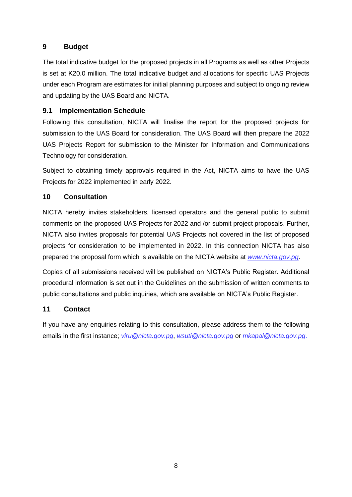# <span id="page-8-0"></span>**9 Budget**

The total indicative budget for the proposed projects in all Programs as well as other Projects is set at K20.0 million. The total indicative budget and allocations for specific UAS Projects under each Program are estimates for initial planning purposes and subject to ongoing review and updating by the UAS Board and NICTA.

## <span id="page-8-1"></span>**9.1 Implementation Schedule**

Following this consultation, NICTA will finalise the report for the proposed projects for submission to the UAS Board for consideration. The UAS Board will then prepare the 2022 UAS Projects Report for submission to the Minister for Information and Communications Technology for consideration.

Subject to obtaining timely approvals required in the Act, NICTA aims to have the UAS Projects for 2022 implemented in early 2022.

## <span id="page-8-2"></span>**10 Consultation**

NICTA hereby invites stakeholders, licensed operators and the general public to submit comments on the proposed UAS Projects for 2022 and /or submit project proposals. Further, NICTA also invites proposals for potential UAS Projects not covered in the list of proposed projects for consideration to be implemented in 2022. In this connection NICTA has also prepared the proposal form which is available on the NICTA website at *[www.nicta.gov.pg](file:///C:/Users/rgriffin/Documents/UAS%202019/UAS%202020%20Project%20Proposals/www.nicta.gov.pg)*.

Copies of all submissions received will be published on NICTA's Public Register. Additional procedural information is set out in the Guidelines on the submission of written comments to public consultations and public inquiries, which are available on NICTA's Public Register.

#### <span id="page-8-3"></span>**11 Contact**

If you have any enquiries relating to this consultation, please address them to the following emails in the first instance; *viru@nicta.gov.pg*, *wsuti@nicta.gov.pg* or *[mkapal@nicta.gov.pg](mailto:mkapal@nicta.gov.pg)*.